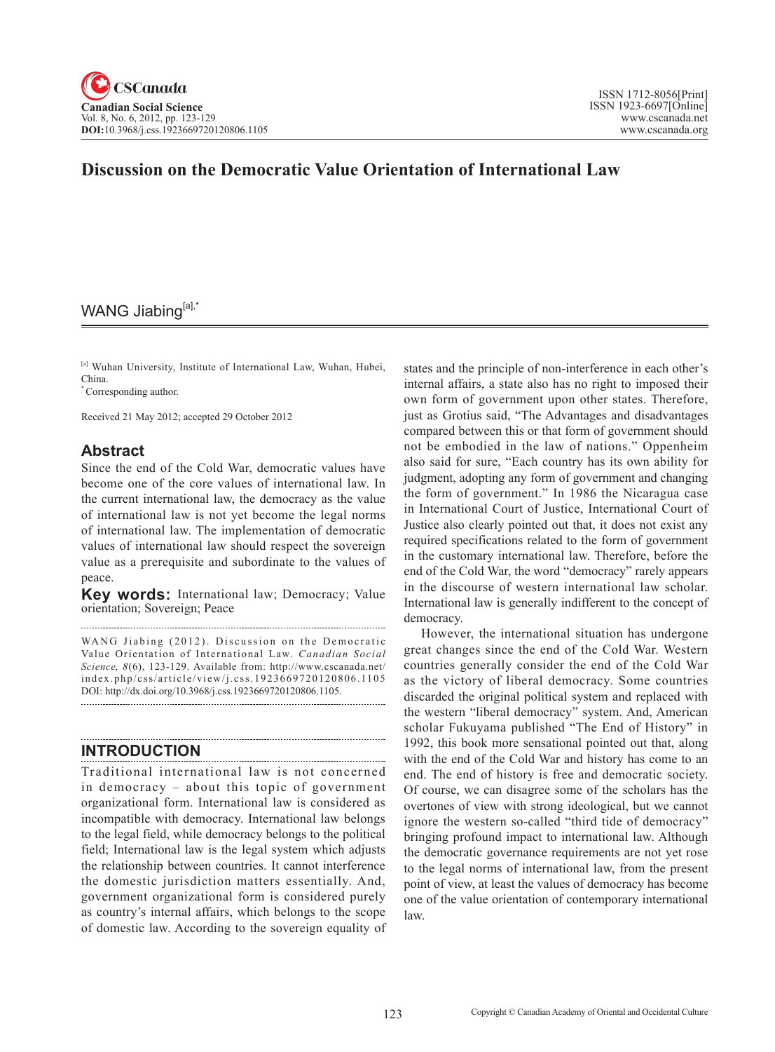# **Discussion on the Democratic Value Orientation of International Law**

# WANG Jiabing[a],

[a] Wuhan University, Institute of International Law, Wuhan, Hubei, China.

\* Corresponding author.

Received 21 May 2012; accepted 29 October 2012

## **Abstract**

Since the end of the Cold War, democratic values have become one of the core values of international law. In the current international law, the democracy as the value of international law is not yet become the legal norms of international law. The implementation of democratic values of international law should respect the sovereign value as a prerequisite and subordinate to the values of peace.

**Key words:** International law; Democracy; Value orientation; Sovereign; Peace

WANG Jiabing (2012). Discussion on the Democratic Value Orientation of International Law. *Canadian Social Science*, 8(6), 123-129. Available from: http://www.cscanada.net/ index.php/css/article/view/j.css.1923669720120806.1105 DOI: http://dx.doi.org/10.3968/j.css.1923669720120806.1105. 

# **INTRODUCTION**

Traditional international law is not concerned in democracy – about this topic of government organizational form. International law is considered as incompatible with democracy. International law belongs to the legal field, while democracy belongs to the political field; International law is the legal system which adjusts the relationship between countries. It cannot interference the domestic jurisdiction matters essentially. And, government organizational form is considered purely as country's internal affairs, which belongs to the scope of domestic law. According to the sovereign equality of states and the principle of non-interference in each other's internal affairs, a state also has no right to imposed their own form of government upon other states. Therefore, just as Grotius said, "The Advantages and disadvantages compared between this or that form of government should not be embodied in the law of nations." Oppenheim also said for sure, "Each country has its own ability for judgment, adopting any form of government and changing the form of government." In 1986 the Nicaragua case in International Court of Justice, International Court of Justice also clearly pointed out that, it does not exist any required specifications related to the form of government in the customary international law. Therefore, before the end of the Cold War, the word "democracy" rarely appears in the discourse of western international law scholar. International law is generally indifferent to the concept of democracy.

However, the international situation has undergone great changes since the end of the Cold War. Western countries generally consider the end of the Cold War as the victory of liberal democracy. Some countries discarded the original political system and replaced with the western "liberal democracy" system. And, American scholar Fukuyama published "The End of History" in 1992, this book more sensational pointed out that, along with the end of the Cold War and history has come to an end. The end of history is free and democratic society. Of course, we can disagree some of the scholars has the overtones of view with strong ideological, but we cannot ignore the western so-called "third tide of democracy" bringing profound impact to international law. Although the democratic governance requirements are not yet rose to the legal norms of international law, from the present point of view, at least the values of democracy has become one of the value orientation of contemporary international law.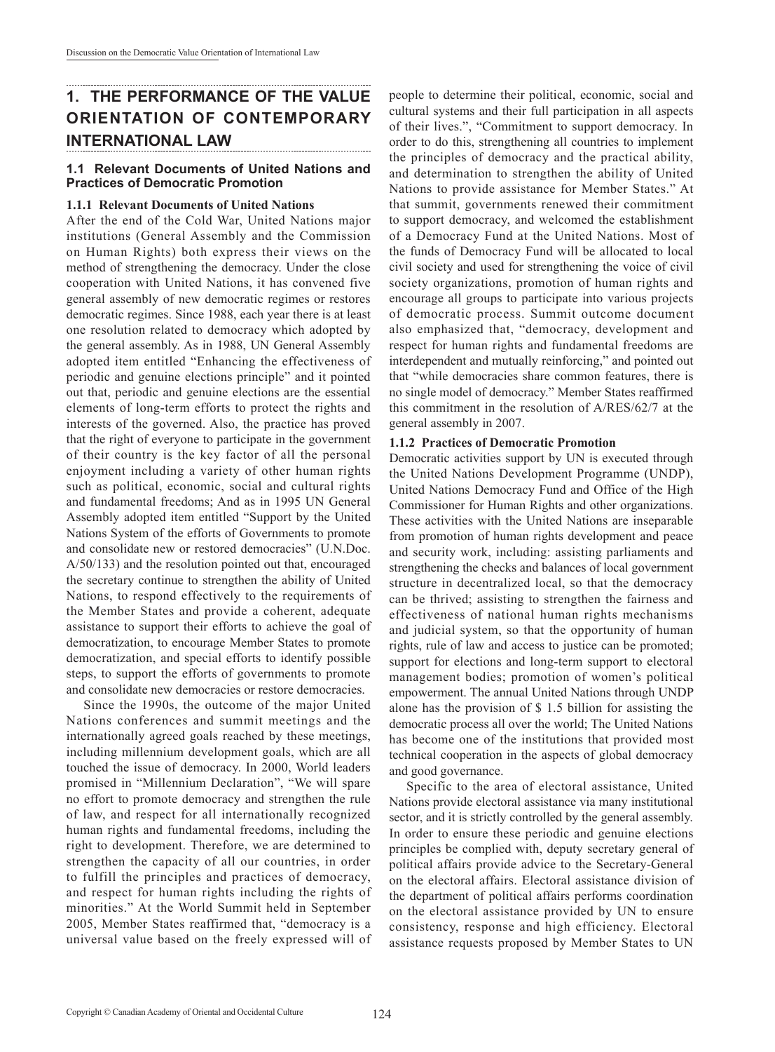# **1. THE PERFORMANCE OF THE VALUE ORIENTATION OF CONTEMPORARY INTERNATIONAL LAW**

#### **1.1 Relevant Documents of United Nations and Practices of Democratic Promotion**

#### **1.1.1 Relevant Documents of United Nations**

After the end of the Cold War, United Nations major institutions (General Assembly and the Commission on Human Rights) both express their views on the method of strengthening the democracy. Under the close cooperation with United Nations, it has convened five general assembly of new democratic regimes or restores democratic regimes. Since 1988, each year there is at least one resolution related to democracy which adopted by the general assembly. As in 1988, UN General Assembly adopted item entitled "Enhancing the effectiveness of periodic and genuine elections principle" and it pointed out that, periodic and genuine elections are the essential elements of long-term efforts to protect the rights and interests of the governed. Also, the practice has proved that the right of everyone to participate in the government of their country is the key factor of all the personal enjoyment including a variety of other human rights such as political, economic, social and cultural rights and fundamental freedoms; And as in 1995 UN General Assembly adopted item entitled "Support by the United Nations System of the efforts of Governments to promote and consolidate new or restored democracies" (U.N.Doc. A/50/133) and the resolution pointed out that, encouraged the secretary continue to strengthen the ability of United Nations, to respond effectively to the requirements of the Member States and provide a coherent, adequate assistance to support their efforts to achieve the goal of democratization, to encourage Member States to promote democratization, and special efforts to identify possible steps, to support the efforts of governments to promote and consolidate new democracies or restore democracies.

Since the 1990s, the outcome of the major United Nations conferences and summit meetings and the internationally agreed goals reached by these meetings, including millennium development goals, which are all touched the issue of democracy. In 2000, World leaders promised in "Millennium Declaration", "We will spare no effort to promote democracy and strengthen the rule of law, and respect for all internationally recognized human rights and fundamental freedoms, including the right to development. Therefore, we are determined to strengthen the capacity of all our countries, in order to fulfill the principles and practices of democracy, and respect for human rights including the rights of minorities." At the World Summit held in September 2005, Member States reaffirmed that, "democracy is a universal value based on the freely expressed will of

people to determine their political, economic, social and cultural systems and their full participation in all aspects of their lives.", "Commitment to support democracy. In order to do this, strengthening all countries to implement the principles of democracy and the practical ability, and determination to strengthen the ability of United Nations to provide assistance for Member States." At that summit, governments renewed their commitment to support democracy, and welcomed the establishment of a Democracy Fund at the United Nations. Most of the funds of Democracy Fund will be allocated to local civil society and used for strengthening the voice of civil society organizations, promotion of human rights and encourage all groups to participate into various projects of democratic process. Summit outcome document also emphasized that, "democracy, development and respect for human rights and fundamental freedoms are interdependent and mutually reinforcing," and pointed out that "while democracies share common features, there is no single model of democracy." Member States reaffirmed this commitment in the resolution of A/RES/62/7 at the general assembly in 2007.

#### **1.1.2 Practices of Democratic Promotion**

Democratic activities support by UN is executed through the United Nations Development Programme (UNDP), United Nations Democracy Fund and Office of the High Commissioner for Human Rights and other organizations. These activities with the United Nations are inseparable from promotion of human rights development and peace and security work, including: assisting parliaments and strengthening the checks and balances of local government structure in decentralized local, so that the democracy can be thrived; assisting to strengthen the fairness and effectiveness of national human rights mechanisms and judicial system, so that the opportunity of human rights, rule of law and access to justice can be promoted; support for elections and long-term support to electoral management bodies; promotion of women's political empowerment. The annual United Nations through UNDP alone has the provision of \$ 1.5 billion for assisting the democratic process all over the world; The United Nations has become one of the institutions that provided most technical cooperation in the aspects of global democracy and good governance.

Specific to the area of electoral assistance, United Nations provide electoral assistance via many institutional sector, and it is strictly controlled by the general assembly. In order to ensure these periodic and genuine elections principles be complied with, deputy secretary general of political affairs provide advice to the Secretary-General on the electoral affairs. Electoral assistance division of the department of political affairs performs coordination on the electoral assistance provided by UN to ensure consistency, response and high efficiency. Electoral assistance requests proposed by Member States to UN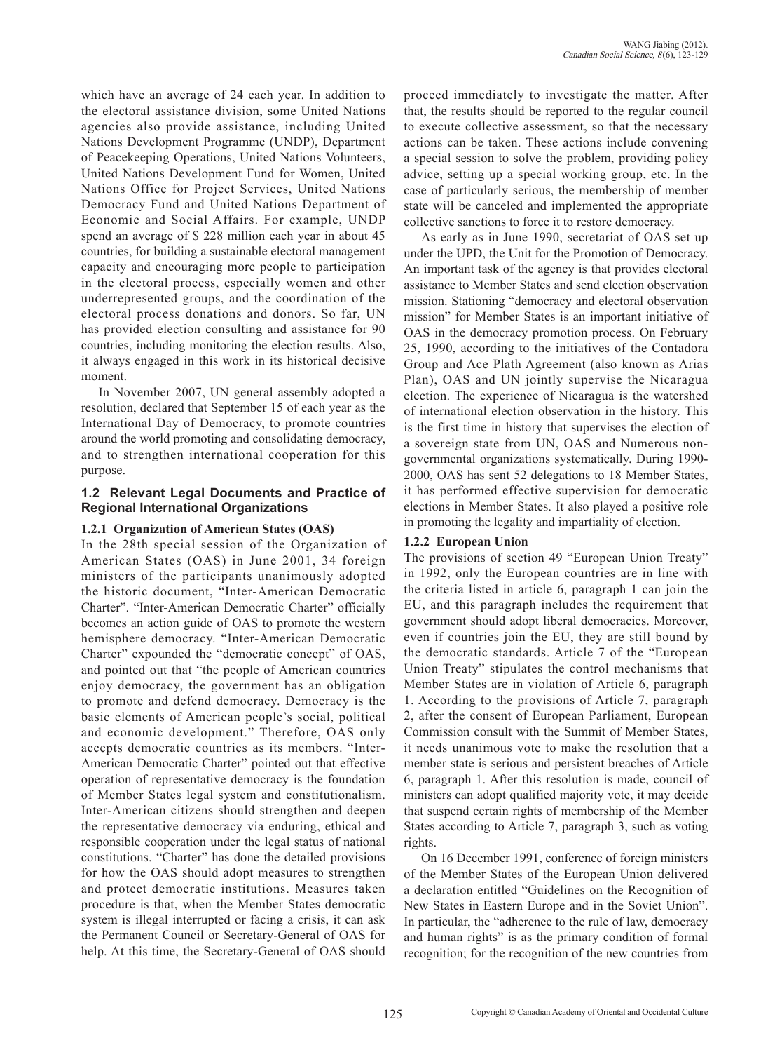which have an average of 24 each year. In addition to the electoral assistance division, some United Nations agencies also provide assistance, including United Nations Development Programme (UNDP), Department of Peacekeeping Operations, United Nations Volunteers, United Nations Development Fund for Women, United Nations Office for Project Services, United Nations Democracy Fund and United Nations Department of Economic and Social Affairs. For example, UNDP spend an average of \$228 million each year in about 45 countries, for building a sustainable electoral management capacity and encouraging more people to participation in the electoral process, especially women and other underrepresented groups, and the coordination of the electoral process donations and donors. So far, UN has provided election consulting and assistance for 90 countries, including monitoring the election results. Also, it always engaged in this work in its historical decisive moment.

In November 2007, UN general assembly adopted a resolution, declared that September 15 of each year as the International Day of Democracy, to promote countries around the world promoting and consolidating democracy, and to strengthen international cooperation for this purpose.

#### **1.2 Relevant Legal Documents and Practice of Regional International Organizations**

#### **1.2.1 Organization of American States (OAS)**

In the 28th special session of the Organization of American States (OAS) in June 2001, 34 foreign ministers of the participants unanimously adopted the historic document, "Inter-American Democratic Charter". "Inter-American Democratic Charter" officially becomes an action guide of OAS to promote the western hemisphere democracy. "Inter-American Democratic Charter" expounded the "democratic concept" of OAS, and pointed out that "the people of American countries enjoy democracy, the government has an obligation to promote and defend democracy. Democracy is the basic elements of American people's social, political and economic development." Therefore, OAS only accepts democratic countries as its members. "Inter-American Democratic Charter" pointed out that effective operation of representative democracy is the foundation of Member States legal system and constitutionalism. Inter-American citizens should strengthen and deepen the representative democracy via enduring, ethical and responsible cooperation under the legal status of national constitutions. "Charter" has done the detailed provisions for how the OAS should adopt measures to strengthen and protect democratic institutions. Measures taken procedure is that, when the Member States democratic system is illegal interrupted or facing a crisis, it can ask the Permanent Council or Secretary-General of OAS for help. At this time, the Secretary-General of OAS should

proceed immediately to investigate the matter. After that, the results should be reported to the regular council to execute collective assessment, so that the necessary actions can be taken. These actions include convening a special session to solve the problem, providing policy advice, setting up a special working group, etc. In the case of particularly serious, the membership of member state will be canceled and implemented the appropriate collective sanctions to force it to restore democracy.

As early as in June 1990, secretariat of OAS set up under the UPD, the Unit for the Promotion of Democracy. An important task of the agency is that provides electoral assistance to Member States and send election observation mission. Stationing "democracy and electoral observation mission" for Member States is an important initiative of OAS in the democracy promotion process. On February 25, 1990, according to the initiatives of the Contadora Group and Ace Plath Agreement (also known as Arias Plan), OAS and UN jointly supervise the Nicaragua election. The experience of Nicaragua is the watershed of international election observation in the history. This is the first time in history that supervises the election of a sovereign state from UN, OAS and Numerous nongovernmental organizations systematically. During 1990- 2000, OAS has sent 52 delegations to 18 Member States, it has performed effective supervision for democratic elections in Member States. It also played a positive role in promoting the legality and impartiality of election.

#### **1.2.2 European Union**

The provisions of section 49 "European Union Treaty" in 1992, only the European countries are in line with the criteria listed in article 6, paragraph 1 can join the EU, and this paragraph includes the requirement that government should adopt liberal democracies. Moreover, even if countries join the EU, they are still bound by the democratic standards. Article 7 of the "European Union Treaty" stipulates the control mechanisms that Member States are in violation of Article 6, paragraph 1. According to the provisions of Article 7, paragraph 2, after the consent of European Parliament, European Commission consult with the Summit of Member States, it needs unanimous vote to make the resolution that a member state is serious and persistent breaches of Article 6, paragraph 1. After this resolution is made, council of ministers can adopt qualified majority vote, it may decide that suspend certain rights of membership of the Member States according to Article 7, paragraph 3, such as voting rights.

On 16 December 1991, conference of foreign ministers of the Member States of the European Union delivered a declaration entitled "Guidelines on the Recognition of New States in Eastern Europe and in the Soviet Union". In particular, the "adherence to the rule of law, democracy and human rights" is as the primary condition of formal recognition; for the recognition of the new countries from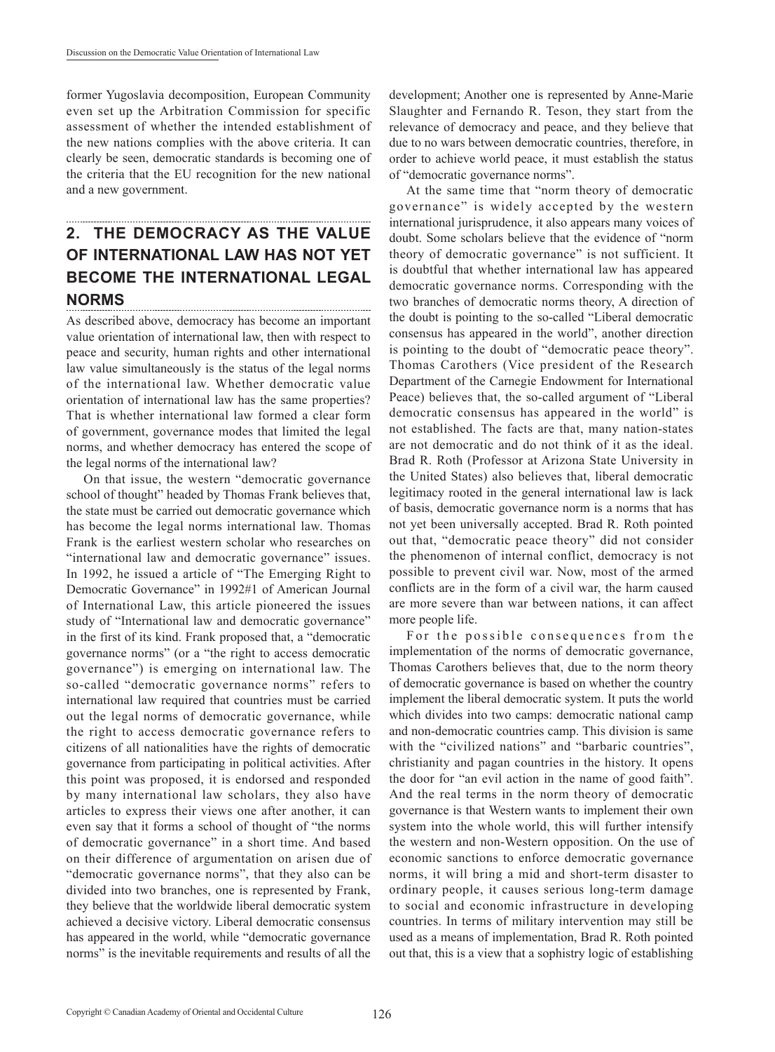former Yugoslavia decomposition, European Community even set up the Arbitration Commission for specific assessment of whether the intended establishment of the new nations complies with the above criteria. It can clearly be seen, democratic standards is becoming one of the criteria that the EU recognition for the new national and a new government.

# **2. THE DEMOCRACY AS THE VALUE OF INTERNATIONAL LAW HAS NOT YET BECOME THE INTERNATIONAL LEGAL NORMS**

As described above, democracy has become an important value orientation of international law, then with respect to peace and security, human rights and other international law value simultaneously is the status of the legal norms of the international law. Whether democratic value orientation of international law has the same properties? That is whether international law formed a clear form of government, governance modes that limited the legal norms, and whether democracy has entered the scope of the legal norms of the international law?

On that issue, the western "democratic governance school of thought" headed by Thomas Frank believes that, the state must be carried out democratic governance which has become the legal norms international law. Thomas Frank is the earliest western scholar who researches on "international law and democratic governance" issues. In 1992, he issued a article of "The Emerging Right to Democratic Governance" in 1992#1 of American Journal of International Law, this article pioneered the issues study of "International law and democratic governance" in the first of its kind. Frank proposed that, a "democratic governance norms" (or a "the right to access democratic governance") is emerging on international law. The so-called "democratic governance norms" refers to international law required that countries must be carried out the legal norms of democratic governance, while the right to access democratic governance refers to citizens of all nationalities have the rights of democratic governance from participating in political activities. After this point was proposed, it is endorsed and responded by many international law scholars, they also have articles to express their views one after another, it can even say that it forms a school of thought of "the norms of democratic governance" in a short time. And based on their difference of argumentation on arisen due of "democratic governance norms", that they also can be divided into two branches, one is represented by Frank, they believe that the worldwide liberal democratic system achieved a decisive victory. Liberal democratic consensus has appeared in the world, while "democratic governance norms" is the inevitable requirements and results of all the

development; Another one is represented by Anne-Marie Slaughter and Fernando R. Teson, they start from the relevance of democracy and peace, and they believe that due to no wars between democratic countries, therefore, in order to achieve world peace, it must establish the status of "democratic governance norms".

At the same time that "norm theory of democratic governance" is widely accepted by the western international jurisprudence, it also appears many voices of doubt. Some scholars believe that the evidence of "norm theory of democratic governance" is not sufficient. It is doubtful that whether international law has appeared democratic governance norms. Corresponding with the two branches of democratic norms theory, A direction of the doubt is pointing to the so-called "Liberal democratic consensus has appeared in the world", another direction is pointing to the doubt of "democratic peace theory". Thomas Carothers (Vice president of the Research Department of the Carnegie Endowment for International Peace) believes that, the so-called argument of "Liberal democratic consensus has appeared in the world" is not established. The facts are that, many nation-states are not democratic and do not think of it as the ideal. Brad R. Roth (Professor at Arizona State University in the United States) also believes that, liberal democratic legitimacy rooted in the general international law is lack of basis, democratic governance norm is a norms that has not yet been universally accepted. Brad R. Roth pointed out that, "democratic peace theory" did not consider the phenomenon of internal conflict, democracy is not possible to prevent civil war. Now, most of the armed conflicts are in the form of a civil war, the harm caused are more severe than war between nations, it can affect more people life.

For the possible consequences from the implementation of the norms of democratic governance, Thomas Carothers believes that, due to the norm theory of democratic governance is based on whether the country implement the liberal democratic system. It puts the world which divides into two camps: democratic national camp and non-democratic countries camp. This division is same with the "civilized nations" and "barbaric countries", christianity and pagan countries in the history. It opens the door for "an evil action in the name of good faith". And the real terms in the norm theory of democratic governance is that Western wants to implement their own system into the whole world, this will further intensify the western and non-Western opposition. On the use of economic sanctions to enforce democratic governance norms, it will bring a mid and short-term disaster to ordinary people, it causes serious long-term damage to social and economic infrastructure in developing countries. In terms of military intervention may still be used as a means of implementation, Brad R. Roth pointed out that, this is a view that a sophistry logic of establishing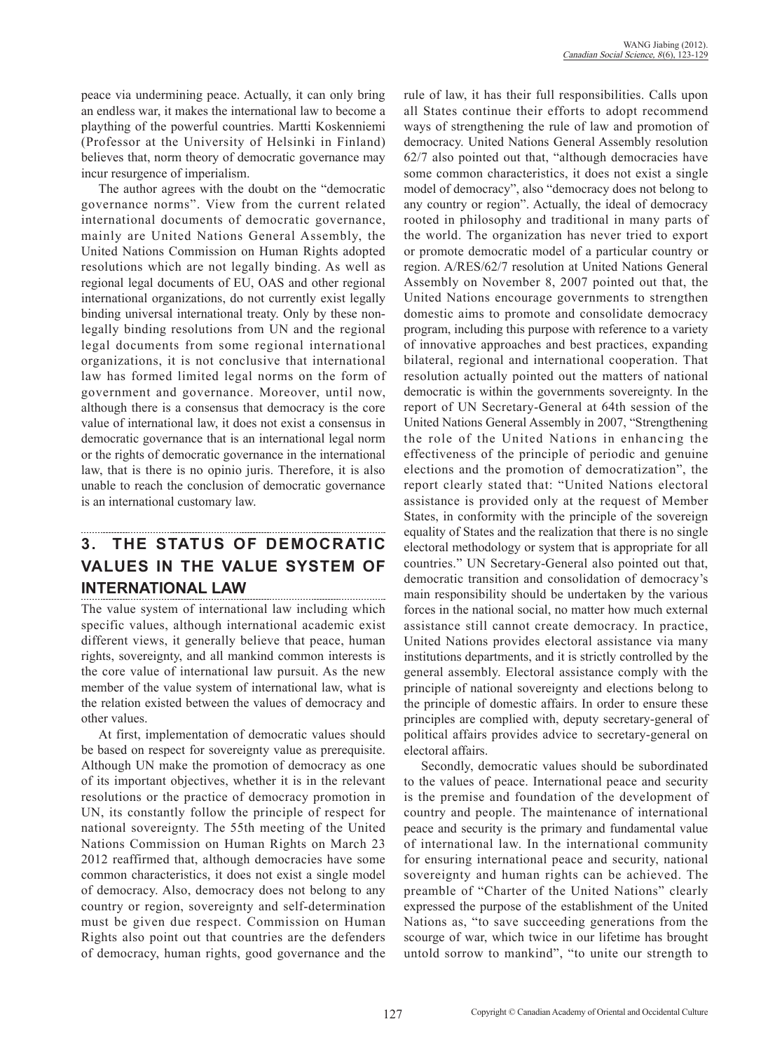peace via undermining peace. Actually, it can only bring an endless war, it makes the international law to become a plaything of the powerful countries. Martti Koskenniemi (Professor at the University of Helsinki in Finland) believes that, norm theory of democratic governance may incur resurgence of imperialism.

The author agrees with the doubt on the "democratic governance norms". View from the current related international documents of democratic governance, mainly are United Nations General Assembly, the United Nations Commission on Human Rights adopted resolutions which are not legally binding. As well as regional legal documents of EU, OAS and other regional international organizations, do not currently exist legally binding universal international treaty. Only by these nonlegally binding resolutions from UN and the regional legal documents from some regional international organizations, it is not conclusive that international law has formed limited legal norms on the form of government and governance. Moreover, until now, although there is a consensus that democracy is the core value of international law, it does not exist a consensus in democratic governance that is an international legal norm or the rights of democratic governance in the international law, that is there is no opinio juris. Therefore, it is also unable to reach the conclusion of democratic governance is an international customary law.

## **3. THE STATUS OF DEMOCRATIC VALUES IN THE VALUE SYSTEM OF INTERNATIONAL LAW**

The value system of international law including which specific values, although international academic exist different views, it generally believe that peace, human rights, sovereignty, and all mankind common interests is the core value of international law pursuit. As the new member of the value system of international law, what is the relation existed between the values of democracy and other values.

At first, implementation of democratic values should be based on respect for sovereignty value as prerequisite. Although UN make the promotion of democracy as one of its important objectives, whether it is in the relevant resolutions or the practice of democracy promotion in UN, its constantly follow the principle of respect for national sovereignty. The 55th meeting of the United Nations Commission on Human Rights on March 23 2012 reaffirmed that, although democracies have some common characteristics, it does not exist a single model of democracy. Also, democracy does not belong to any country or region, sovereignty and self-determination must be given due respect. Commission on Human Rights also point out that countries are the defenders of democracy, human rights, good governance and the

rule of law, it has their full responsibilities. Calls upon all States continue their efforts to adopt recommend ways of strengthening the rule of law and promotion of democracy. United Nations General Assembly resolution 62/7 also pointed out that, "although democracies have some common characteristics, it does not exist a single model of democracy", also "democracy does not belong to any country or region". Actually, the ideal of democracy rooted in philosophy and traditional in many parts of the world. The organization has never tried to export or promote democratic model of a particular country or region. A/RES/62/7 resolution at United Nations General Assembly on November 8, 2007 pointed out that, the United Nations encourage governments to strengthen domestic aims to promote and consolidate democracy program, including this purpose with reference to a variety of innovative approaches and best practices, expanding bilateral, regional and international cooperation. That resolution actually pointed out the matters of national democratic is within the governments sovereignty. In the report of UN Secretary-General at 64th session of the United Nations General Assembly in 2007, "Strengthening the role of the United Nations in enhancing the effectiveness of the principle of periodic and genuine elections and the promotion of democratization", the report clearly stated that: "United Nations electoral assistance is provided only at the request of Member States, in conformity with the principle of the sovereign equality of States and the realization that there is no single electoral methodology or system that is appropriate for all countries." UN Secretary-General also pointed out that, democratic transition and consolidation of democracy's main responsibility should be undertaken by the various forces in the national social, no matter how much external assistance still cannot create democracy. In practice, United Nations provides electoral assistance via many institutions departments, and it is strictly controlled by the general assembly. Electoral assistance comply with the principle of national sovereignty and elections belong to the principle of domestic affairs. In order to ensure these principles are complied with, deputy secretary-general of political affairs provides advice to secretary-general on electoral affairs.

Secondly, democratic values should be subordinated to the values of peace. International peace and security is the premise and foundation of the development of country and people. The maintenance of international peace and security is the primary and fundamental value of international law. In the international community for ensuring international peace and security, national sovereignty and human rights can be achieved. The preamble of "Charter of the United Nations" clearly expressed the purpose of the establishment of the United Nations as, "to save succeeding generations from the scourge of war, which twice in our lifetime has brought untold sorrow to mankind", "to unite our strength to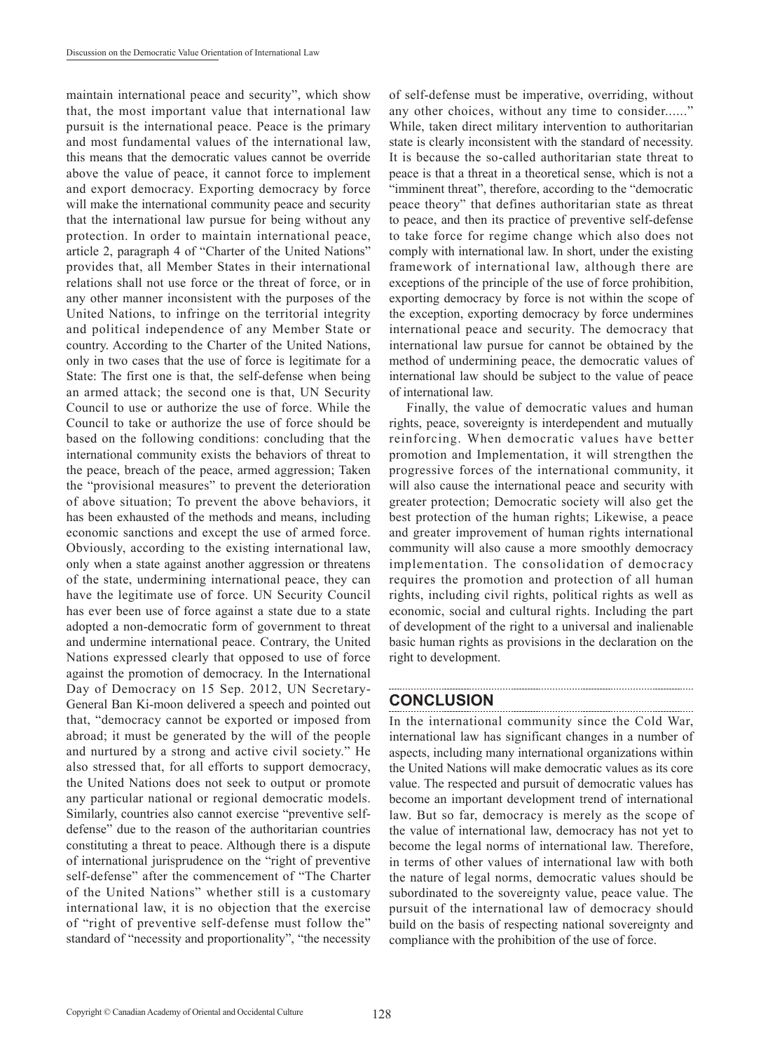maintain international peace and security", which show that, the most important value that international law pursuit is the international peace. Peace is the primary and most fundamental values of the international law, this means that the democratic values cannot be override above the value of peace, it cannot force to implement and export democracy. Exporting democracy by force will make the international community peace and security that the international law pursue for being without any protection. In order to maintain international peace, article 2, paragraph 4 of "Charter of the United Nations" provides that, all Member States in their international relations shall not use force or the threat of force, or in any other manner inconsistent with the purposes of the United Nations, to infringe on the territorial integrity and political independence of any Member State or country. According to the Charter of the United Nations, only in two cases that the use of force is legitimate for a State: The first one is that, the self-defense when being an armed attack; the second one is that, UN Security Council to use or authorize the use of force. While the Council to take or authorize the use of force should be based on the following conditions: concluding that the international community exists the behaviors of threat to the peace, breach of the peace, armed aggression; Taken the "provisional measures" to prevent the deterioration of above situation; To prevent the above behaviors, it has been exhausted of the methods and means, including economic sanctions and except the use of armed force. Obviously, according to the existing international law, only when a state against another aggression or threatens of the state, undermining international peace, they can have the legitimate use of force. UN Security Council has ever been use of force against a state due to a state adopted a non-democratic form of government to threat and undermine international peace. Contrary, the United Nations expressed clearly that opposed to use of force against the promotion of democracy. In the International Day of Democracy on 15 Sep. 2012, UN Secretary-General Ban Ki-moon delivered a speech and pointed out that, "democracy cannot be exported or imposed from abroad; it must be generated by the will of the people and nurtured by a strong and active civil society." He also stressed that, for all efforts to support democracy, the United Nations does not seek to output or promote any particular national or regional democratic models. Similarly, countries also cannot exercise "preventive selfdefense" due to the reason of the authoritarian countries constituting a threat to peace. Although there is a dispute of international jurisprudence on the "right of preventive self-defense" after the commencement of "The Charter of the United Nations" whether still is a customary international law, it is no objection that the exercise of "right of preventive self-defense must follow the" standard of "necessity and proportionality", "the necessity of self-defense must be imperative, overriding, without any other choices, without any time to consider......" While, taken direct military intervention to authoritarian state is clearly inconsistent with the standard of necessity. It is because the so-called authoritarian state threat to peace is that a threat in a theoretical sense, which is not a "imminent threat", therefore, according to the "democratic peace theory" that defines authoritarian state as threat to peace, and then its practice of preventive self-defense to take force for regime change which also does not comply with international law. In short, under the existing framework of international law, although there are exceptions of the principle of the use of force prohibition, exporting democracy by force is not within the scope of the exception, exporting democracy by force undermines international peace and security. The democracy that international law pursue for cannot be obtained by the method of undermining peace, the democratic values of international law should be subject to the value of peace of international law.

Finally, the value of democratic values and human rights, peace, sovereignty is interdependent and mutually reinforcing. When democratic values have better promotion and Implementation, it will strengthen the progressive forces of the international community, it will also cause the international peace and security with greater protection; Democratic society will also get the best protection of the human rights; Likewise, a peace and greater improvement of human rights international community will also cause a more smoothly democracy implementation. The consolidation of democracy requires the promotion and protection of all human rights, including civil rights, political rights as well as economic, social and cultural rights. Including the part of development of the right to a universal and inalienable basic human rights as provisions in the declaration on the right to development.

# **CONCLUSION**

In the international community since the Cold War, international law has significant changes in a number of aspects, including many international organizations within the United Nations will make democratic values as its core value. The respected and pursuit of democratic values has become an important development trend of international law. But so far, democracy is merely as the scope of the value of international law, democracy has not yet to become the legal norms of international law. Therefore, in terms of other values of international law with both the nature of legal norms, democratic values should be subordinated to the sovereignty value, peace value. The pursuit of the international law of democracy should build on the basis of respecting national sovereignty and compliance with the prohibition of the use of force.